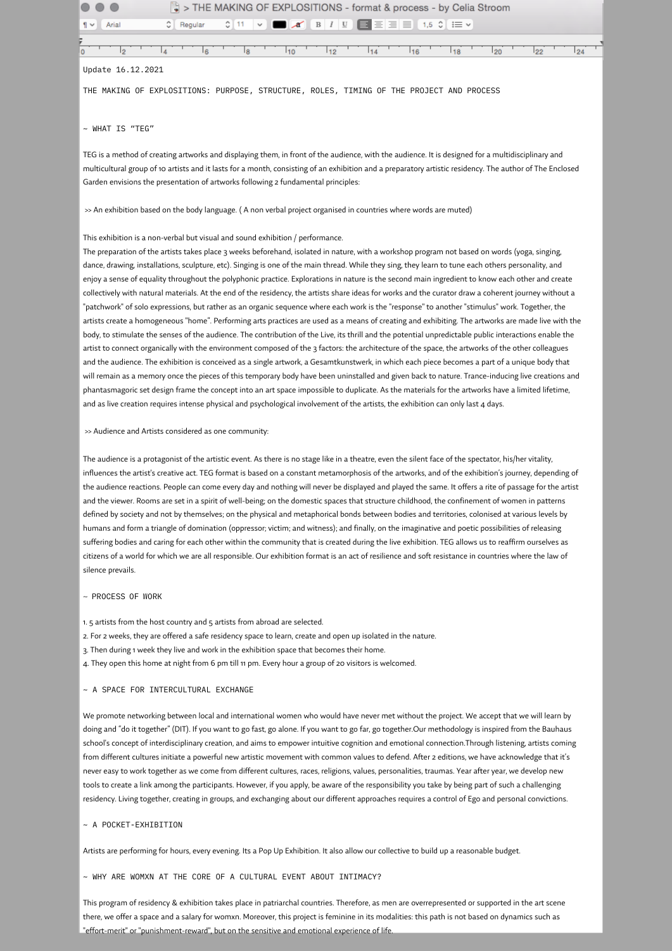| > THE MAKING OF EXPLOSITIONS - format & process - by Celia Stroom                                                                                                                                                                                    |
|------------------------------------------------------------------------------------------------------------------------------------------------------------------------------------------------------------------------------------------------------|
| $\mathbf{A} \quad \mathbf{B} \quad I \quad \mathbf{U}$<br>$\blacksquare$ $\equiv$ $\equiv$ $\blacksquare$ $\blacksquare$ $\blacksquare$ $\blacksquare$ $\triangleright$<br>Regular<br>٥.<br>$\frac{6}{2}$ 11<br>Arial<br>$\checkmark$<br>$\P$ $\vee$ |
|                                                                                                                                                                                                                                                      |
| 22<br>12<br>8<br>110<br>112<br>116<br>18<br>120<br>24<br>١g<br>114                                                                                                                                                                                   |
| Update 16.12.2021                                                                                                                                                                                                                                    |
| THE MAKING OF EXPLOSITIONS: PURPOSE, STRUCTURE, ROLES, TIMING OF THE PROJECT AND PROCESS                                                                                                                                                             |
|                                                                                                                                                                                                                                                      |
| $\sim$ WHAT IS "TEG"                                                                                                                                                                                                                                 |
| TEG is a method of creating artworks and displaying them, in front of the audience, with the audience. It is designed for a multidisciplinary and                                                                                                    |
| multicultural group of 10 artists and it lasts for a month, consisting of an exhibition and a preparatory artistic residency. The author of The Enclosed                                                                                             |
| Garden envisions the presentation of artworks following 2 fundamental principles:                                                                                                                                                                    |
|                                                                                                                                                                                                                                                      |
| >> An exhibition based on the body language. (A non verbal project organised in countries where words are muted)                                                                                                                                     |
|                                                                                                                                                                                                                                                      |
| This exhibition is a non-verbal but visual and sound exhibition / performance.                                                                                                                                                                       |
| The preparation of the artists takes place 3 weeks beforehand, isolated in nature, with a workshop program not based on words (yoga, singing,                                                                                                        |
| dance, drawing, installations, sculpture, etc). Singing is one of the main thread. While they sing, they learn to tune each others personality, and                                                                                                  |
| a a concert de la calca de calca de la concerta ∈ de secuencia de la concelesta de la calca de la contrade de l                                                                                                                                      |

enjoy a sense of equality throughout the polyphonic practice. Explorations in nature is the second main ingredient to know each other and create collectively with natural materials. At the end of the residency, the artists share ideas for works and the curator draw a coherent journey without a "patchwork" of solo expressions, but rather as an organic sequence where each work is the "response" to another "stimulus" work. Together, the artists create a homogeneous "home". Performing arts practices are used as a means of creating and exhibiting. The artworks are made live with the body, to stimulate the senses of the audience. The contribution of the Live, its thrill and the potential unpredictable public interactions enable the artist to connect organically with the environment composed of the 3 factors: the architecture of the space, the artworks of the other colleagues and the audience. The exhibition is conceived as a single artwork, a Gesamtkunstwerk, in which each piece becomes a part of a unique body that will remain as a memory once the pieces of this temporary body have been uninstalled and given back to nature. Trance-inducing live creations and phantasmagoric set design frame the concept into an art space impossible to duplicate. As the materials for the artworks have a limited lifetime, and as live creation requires intense physical and psychological involvement of the artists, the exhibition can only last 4 days.

## >> Audience and Artists considered as one community:

The audience is a protagonist of the artistic event. As there is no stage like in a theatre, even the silent face of the spectator, his/her vitality, influences the artist's creative act. TEG format is based on a constant metamorphosis of the artworks, and of the exhibition's journey, depending of the audience reactions. People can come every day and nothing will never be displayed and played the same. It offers a rite of passage for the artist and the viewer. Rooms are set in a spirit of well-being; on the domestic spaces that structure childhood, the confinement of women in patterns defined by society and not by themselves; on the physical and metaphorical bonds between bodies and territories, colonised at various levels by humans and form a triangle of domination (oppressor; victim; and witness); and finally, on the imaginative and poetic possibilities of releasing suffering bodies and caring for each other within the community that is created during the live exhibition. TEG allows us to reaffirm ourselves as citizens of a world for which we are all responsible. Our exhibition format is an act of resilience and soft resistance in countries where the law of silence prevails.

#### ~ PROCESS OF WORK

- 1.5artists from the host countryand 5artists from abroad areselected.
- 2. For 2 weeks, they are offered a safe residency space to learn, create and open up isolated in the nature.
- 3. Then during 1 week they live and work in the exhibition space that becomes their home.
- 4. They open this home at night from 6 pm till 11 pm. Every hour a group of 20 visitors is welcomed.

# $\sim$  A SPACE FOR INTERCULTURAL EXCHANGE

We promote networking between local and international women who would have never met without the project. We accept that we will learn by doing and "do it together" (DIT). If you want to go fast, go alone. If you want to go far, go together.Our methodology is inspired from the Bauhaus school's concept of interdisciplinary creation, and aims to empower intuitive cognition and emotional connection.Through listening, artists coming from different cultures initiate a powerful new artistic movement with common values to defend. After 2 editions, we have acknowledge that it's never easy to work together as we come from different cultures, races, religions, values, personalities, traumas. Year after year, we develop new tools to create a link among the participants. However, if you apply, be aware of the responsibility you take by being part of such a challenging residency. Living together, creating in groups, and exchanging about our different approaches requires a control of Ego and personal convictions.

# ~ A POCKET-EXHIBITION

Artists are performing for hours, every evening. Its a Pop Up Exhibition. It also allow our collective to build up a reasonable budget.

### ~ WHY ARE WOMXN AT THE CORE OF A CULTURAL EVENT ABOUT INTIMACY?

This program of residency & exhibition takes place in patriarchal countries. Therefore, as men are overrepresented or supported in the art scene there, we offer a space and a salary for womxn. Moreover, this project is feminine in its modalities: this path is not based on dynamics such as "effort-merit" or "punishment-reward", but on the sensitive and emotional experience of life